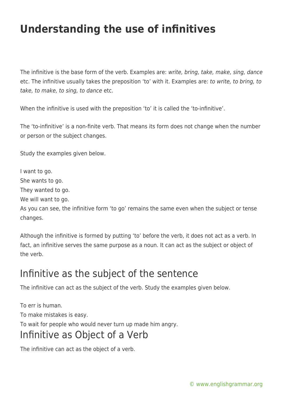## **Understanding the use of infinitives**

The infinitive is the base form of the verb. Examples are: write, bring, take, make, sing, dance etc. The infinitive usually takes the preposition 'to' with it. Examples are: to write, to bring, to take, to make, to sing, to dance etc.

When the infinitive is used with the preposition 'to' it is called the 'to-infinitive'.

The 'to-infinitive' is a non-finite verb. That means its form does not change when the number or person or the subject changes.

Study the examples given below.

I want to go.

She wants to go.

They wanted to go.

We will want to go.

As you can see, the infinitive form 'to go' remains the same even when the subject or tense changes.

Although the infinitive is formed by putting 'to' before the verb, it does not act as a verb. In fact, an infinitive serves the same purpose as a noun. It can act as the subject or object of the verb.

## Infinitive as the subject of the sentence

The infinitive can act as the subject of the verb. Study the examples given below.

To err is human. To make mistakes is easy. To wait for people who would never turn up made him angry. Infinitive as Object of a Verb

The infinitive can act as the object of a verb.